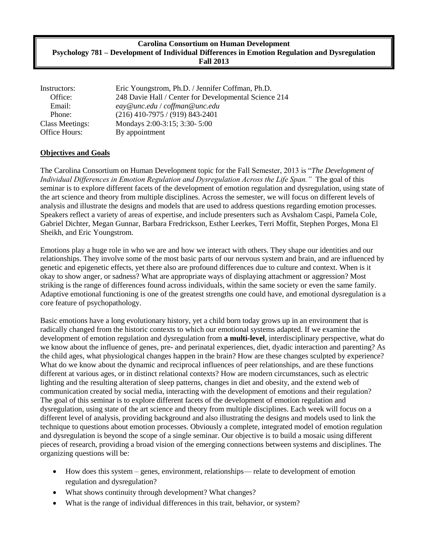#### **Carolina Consortium on Human Development Psychology 781 – Development of Individual Differences in Emotion Regulation and Dysregulation Fall 2013**

| Instructors:           | Eric Youngstrom, Ph.D. / Jennifer Coffman, Ph.D.      |  |
|------------------------|-------------------------------------------------------|--|
| Office:                | 248 Davie Hall / Center for Developmental Science 214 |  |
| Email:                 | eay@unc.edu / coffman@unc.edu                         |  |
| Phone:                 | $(216)$ 410-7975 / (919) 843-2401                     |  |
| <b>Class Meetings:</b> | Mondays 2:00-3:15; 3:30-5:00                          |  |
| Office Hours:          | By appointment                                        |  |

#### **Objectives and Goals**

The Carolina Consortium on Human Development topic for the Fall Semester, 2013 is "*The Development of Individual Differences in Emotion Regulation and Dysregulation Across the Life Span."* The goal of this seminar is to explore different facets of the development of emotion regulation and dysregulation, using state of the art science and theory from multiple disciplines. Across the semester, we will focus on different levels of analysis and illustrate the designs and models that are used to address questions regarding emotion processes. Speakers reflect a variety of areas of expertise, and include presenters such as Avshalom Caspi, Pamela Cole, Gabriel Dichter, Megan Gunnar, Barbara Fredrickson, Esther Leerkes, Terri Moffit, Stephen Porges, Mona El Sheikh, and Eric Youngstrom.

Emotions play a huge role in who we are and how we interact with others. They shape our identities and our relationships. They involve some of the most basic parts of our nervous system and brain, and are influenced by genetic and epigenetic effects, yet there also are profound differences due to culture and context. When is it okay to show anger, or sadness? What are appropriate ways of displaying attachment or aggression? Most striking is the range of differences found across individuals, within the same society or even the same family. Adaptive emotional functioning is one of the greatest strengths one could have, and emotional dysregulation is a core feature of psychopathology.

Basic emotions have a long evolutionary history, yet a child born today grows up in an environment that is radically changed from the historic contexts to which our emotional systems adapted. If we examine the development of emotion regulation and dysregulation from **a multi-level**, interdisciplinary perspective, what do we know about the influence of genes, pre- and perinatal experiences, diet, dyadic interaction and parenting? As the child ages, what physiological changes happen in the brain? How are these changes sculpted by experience? What do we know about the dynamic and reciprocal influences of peer relationships, and are these functions different at various ages, or in distinct relational contexts? How are modern circumstances, such as electric lighting and the resulting alteration of sleep patterns, changes in diet and obesity, and the extend web of communication created by social media, interacting with the development of emotions and their regulation? The goal of this seminar is to explore different facets of the development of emotion regulation and dysregulation, using state of the art science and theory from multiple disciplines. Each week will focus on a different level of analysis, providing background and also illustrating the designs and models used to link the technique to questions about emotion processes. Obviously a complete, integrated model of emotion regulation and dysregulation is beyond the scope of a single seminar. Our objective is to build a mosaic using different pieces of research, providing a broad vision of the emerging connections between systems and disciplines. The organizing questions will be:

- How does this system genes, environment, relationships— relate to development of emotion regulation and dysregulation?
- What shows continuity through development? What changes?
- What is the range of individual differences in this trait, behavior, or system?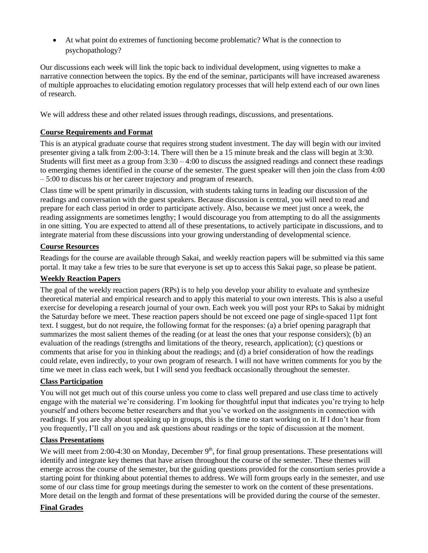At what point do extremes of functioning become problematic? What is the connection to psychopathology?

Our discussions each week will link the topic back to individual development, using vignettes to make a narrative connection between the topics. By the end of the seminar, participants will have increased awareness of multiple approaches to elucidating emotion regulatory processes that will help extend each of our own lines of research.

We will address these and other related issues through readings, discussions, and presentations.

## **Course Requirements and Format**

This is an atypical graduate course that requires strong student investment. The day will begin with our invited presenter giving a talk from 2:00-3:14. There will then be a 15 minute break and the class will begin at 3:30. Students will first meet as a group from 3:30 – 4:00 to discuss the assigned readings and connect these readings to emerging themes identified in the course of the semester. The guest speaker will then join the class from 4:00 – 5:00 to discuss his or her career trajectory and program of research.

Class time will be spent primarily in discussion, with students taking turns in leading our discussion of the readings and conversation with the guest speakers. Because discussion is central, you will need to read and prepare for each class period in order to participate actively. Also, because we meet just once a week, the reading assignments are sometimes lengthy; I would discourage you from attempting to do all the assignments in one sitting. You are expected to attend all of these presentations, to actively participate in discussions, and to integrate material from these discussions into your growing understanding of developmental science.

### **Course Resources**

Readings for the course are available through Sakai, and weekly reaction papers will be submitted via this same portal. It may take a few tries to be sure that everyone is set up to access this Sakai page, so please be patient.

## **Weekly Reaction Papers**

The goal of the weekly reaction papers (RPs) is to help you develop your ability to evaluate and synthesize theoretical material and empirical research and to apply this material to your own interests. This is also a useful exercise for developing a research journal of your own. Each week you will post your RPs to Sakai by midnight the Saturday before we meet. These reaction papers should be not exceed one page of single-spaced 11pt font text. I suggest, but do not require, the following format for the responses: (a) a brief opening paragraph that summarizes the most salient themes of the reading (or at least the ones that your response considers); (b) an evaluation of the readings (strengths and limitations of the theory, research, application); (c) questions or comments that arise for you in thinking about the readings; and (d) a brief consideration of how the readings could relate, even indirectly, to your own program of research. I will not have written comments for you by the time we meet in class each week, but I will send you feedback occasionally throughout the semester.

#### **Class Participation**

You will not get much out of this course unless you come to class well prepared and use class time to actively engage with the material we're considering. I'm looking for thoughtful input that indicates you're trying to help yourself and others become better researchers and that you've worked on the assignments in connection with readings. If you are shy about speaking up in groups, this is the time to start working on it. If I don't hear from you frequently, I'll call on you and ask questions about readings or the topic of discussion at the moment.

#### **Class Presentations**

We will meet from 2:00-4:30 on Monday, December  $9<sup>th</sup>$ , for final group presentations. These presentations will identify and integrate key themes that have arisen throughout the course of the semester. These themes will emerge across the course of the semester, but the guiding questions provided for the consortium series provide a starting point for thinking about potential themes to address. We will form groups early in the semester, and use some of our class time for group meetings during the semester to work on the content of these presentations. More detail on the length and format of these presentations will be provided during the course of the semester.

#### **Final Grades**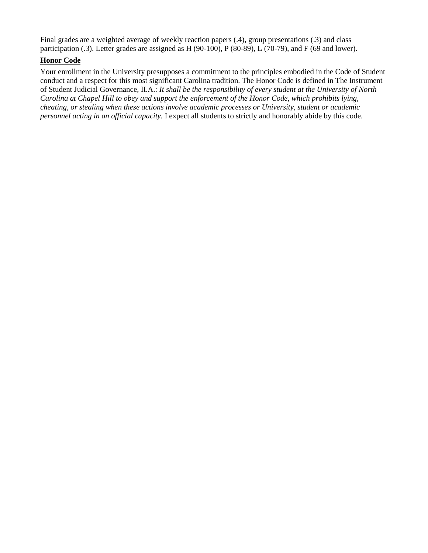Final grades are a weighted average of weekly reaction papers (.4), group presentations (.3) and class participation (.3). Letter grades are assigned as H (90-100), P (80-89), L (70-79), and F (69 and lower).

# **Honor Code**

Your enrollment in the University presupposes a commitment to the principles embodied in the Code of Student conduct and a respect for this most significant Carolina tradition. The Honor Code is defined in The Instrument of Student Judicial Governance, II.A.: *It shall be the responsibility of every student at the University of North Carolina at Chapel Hill to obey and support the enforcement of the Honor Code, which prohibits lying, cheating, or stealing when these actions involve academic processes or University, student or academic personnel acting in an official capacity.* I expect all students to strictly and honorably abide by this code.